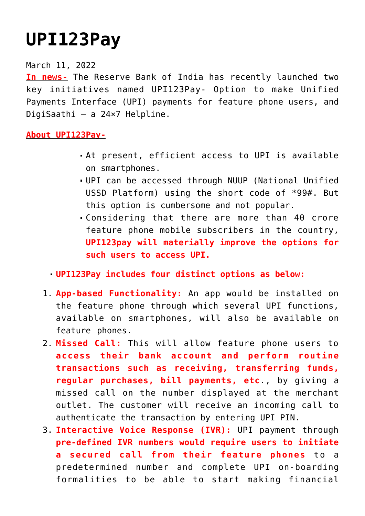## **[UPI123Pay](https://journalsofindia.com/upi123pay/)**

## March 11, 2022

**In news-** The Reserve Bank of India has recently launched two key initiatives named UPI123Pay- Option to make Unified Payments Interface (UPI) payments for feature phone users, and DigiSaathi – a 24×7 Helpline.

## **About UPI123Pay-**

- At present, efficient access to UPI is available on smartphones.
- UPI can be accessed through NUUP (National Unified USSD Platform) using the short code of \*99#. But this option is cumbersome and not popular.
- Considering that there are more than 40 crore feature phone mobile subscribers in the country, **UPI123pay will materially improve the options for such users to access UPI.**

## **UPI123Pay includes four distinct options as below:**

- 1. **App-based Functionality:** An app would be installed on the feature phone through which several UPI functions, available on smartphones, will also be available on feature phones.
- 2. **Missed Call:** This will allow feature phone users to **access their bank account and perform routine transactions such as receiving, transferring funds, regular purchases, bill payments, etc**., by giving a missed call on the number displayed at the merchant outlet. The customer will receive an incoming call to authenticate the transaction by entering UPI PIN.
- 3. **Interactive Voice Response (IVR):** UPI payment through **pre-defined IVR numbers would require users to initiate a secured call from their feature phones** to a predetermined number and complete UPI on-boarding formalities to be able to start making financial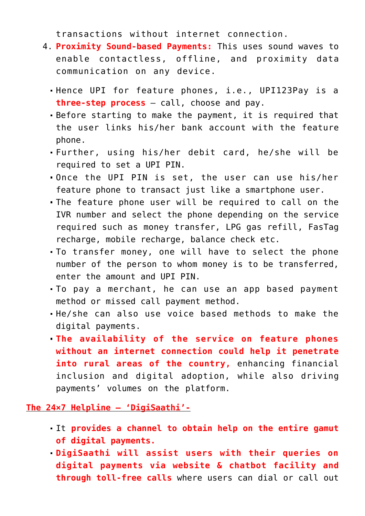transactions without internet connection.

- 4. **Proximity Sound-based Payments:** This uses sound waves to enable contactless, offline, and proximity data communication on any device.
	- Hence UPI for feature phones, i.e., UPI123Pay is a **three-step process** – call, choose and pay.
	- Before starting to make the payment, it is required that the user links his/her bank account with the feature phone.
	- Further, using his/her debit card, he/she will be required to set a UPI PIN.
	- Once the UPI PIN is set, the user can use his/her feature phone to transact just like a smartphone user.
	- The feature phone user will be required to call on the IVR number and select the phone depending on the service required such as money transfer, LPG gas refill, FasTag recharge, mobile recharge, balance check etc.
	- To transfer money, one will have to select the phone number of the person to whom money is to be transferred, enter the amount and UPI PIN.
	- To pay a merchant, he can use an app based payment method or missed call payment method.
	- He/she can also use voice based methods to make the digital payments.
	- **The availability of the service on feature phones without an internet connection could help it penetrate into rural areas of the country,** enhancing financial inclusion and digital adoption, while also driving payments' volumes on the platform.

**The 24×7 Helpline – 'DigiSaathi'-**

- It **provides a channel to obtain help on the entire gamut of digital payments.**
- **DigiSaathi will assist users with their queries on digital payments via website & chatbot facility and through toll-free calls** where users can dial or call out